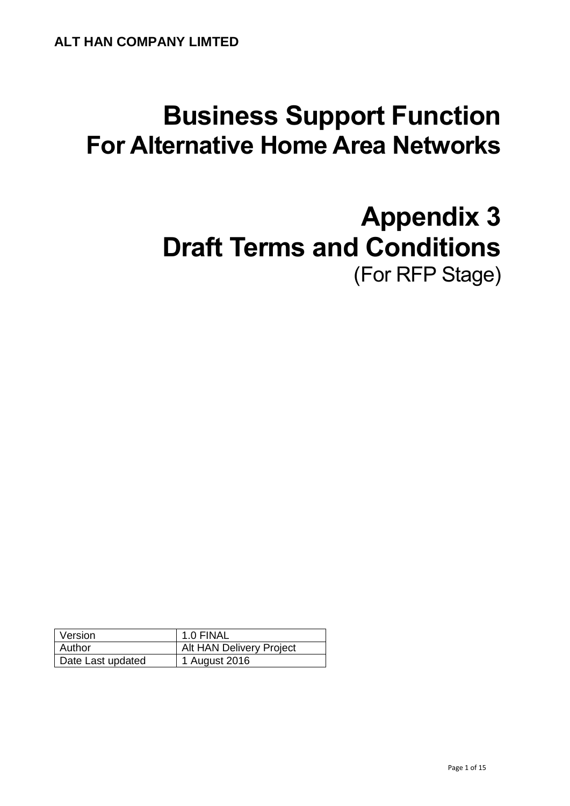# **Business Support Function For Alternative Home Area Networks**

# **Appendix 3 Draft Terms and Conditions** (For RFP Stage)

| Version           | 1.0 FINAL                |
|-------------------|--------------------------|
| Author            | Alt HAN Delivery Project |
| Date Last updated | 1 August 2016            |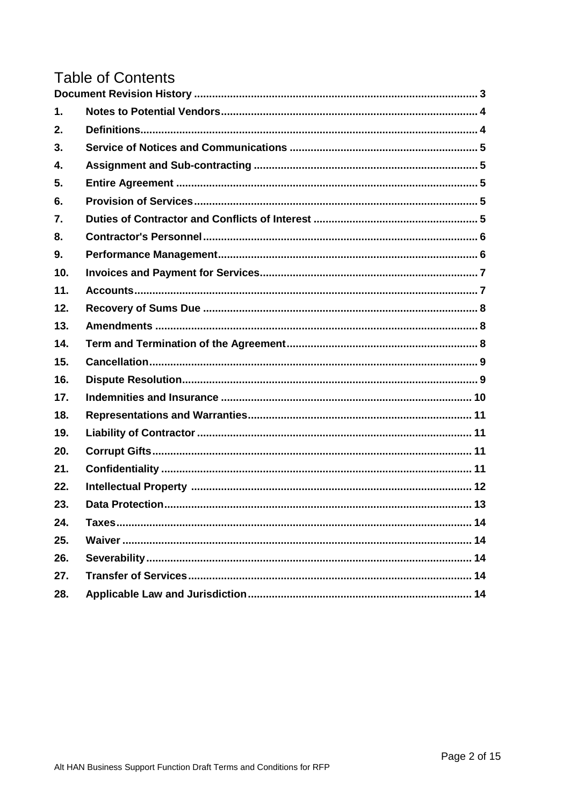# **Table of Contents**

| 1.  |  |
|-----|--|
| 2.  |  |
| 3.  |  |
| 4.  |  |
| 5.  |  |
| 6.  |  |
| 7.  |  |
| 8.  |  |
| 9.  |  |
| 10. |  |
| 11. |  |
| 12. |  |
| 13. |  |
| 14. |  |
| 15. |  |
| 16. |  |
| 17. |  |
| 18. |  |
| 19. |  |
| 20. |  |
| 21. |  |
| 22. |  |
| 23. |  |
| 24. |  |
| 25. |  |
| 26. |  |
| 27. |  |
| 28. |  |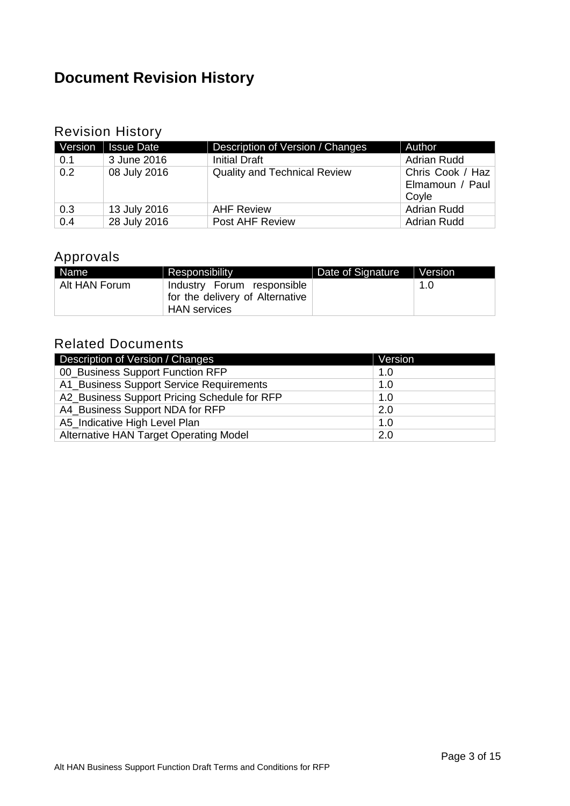## <span id="page-2-0"></span>**Document Revision History**

## Revision History

| Version | <b>Issue Date</b> | Description of Version / Changes    | Author                                       |
|---------|-------------------|-------------------------------------|----------------------------------------------|
| 0.1     | 3 June 2016       | <b>Initial Draft</b>                | <b>Adrian Rudd</b>                           |
| 0.2     | 08 July 2016      | <b>Quality and Technical Review</b> | Chris Cook / Haz<br>Elmamoun / Paul<br>Coyle |
| 0.3     | 13 July 2016      | <b>AHF Review</b>                   | <b>Adrian Rudd</b>                           |
| 0.4     | 28 July 2016      | Post AHF Review                     | <b>Adrian Rudd</b>                           |

### Approvals

| Name <sup>1</sup> | Responsibility                                                | Date of Signature | Version |
|-------------------|---------------------------------------------------------------|-------------------|---------|
| Alt HAN Forum     | Industry Forum responsible<br>for the delivery of Alternative |                   | 1.0     |
|                   | <b>HAN</b> services                                           |                   |         |

### Related Documents

| Description of Version / Changes             | Version |
|----------------------------------------------|---------|
| 00_Business Support Function RFP             | 1.0     |
| A1_Business Support Service Requirements     | 1.0     |
| A2_Business Support Pricing Schedule for RFP | 1.0     |
| A4 Business Support NDA for RFP              | 2.0     |
| A5_Indicative High Level Plan                | 1.0     |
| Alternative HAN Target Operating Model       | 2.0     |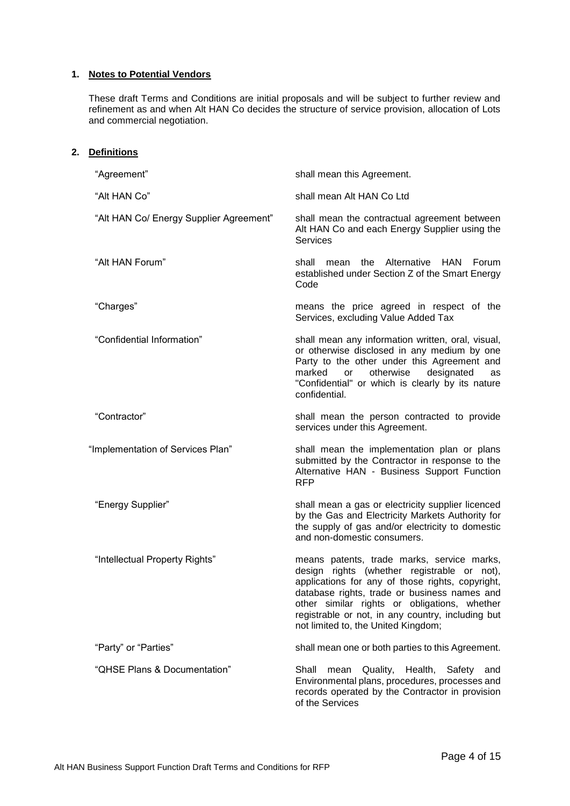#### <span id="page-3-0"></span>**1. Notes to Potential Vendors**

<span id="page-3-1"></span>**2. Definitions**

These draft Terms and Conditions are initial proposals and will be subject to further review and refinement as and when Alt HAN Co decides the structure of service provision, allocation of Lots and commercial negotiation.

| "Agreement"                             | shall mean this Agreement.                                                                                                                                                                                                                                                                                                                |
|-----------------------------------------|-------------------------------------------------------------------------------------------------------------------------------------------------------------------------------------------------------------------------------------------------------------------------------------------------------------------------------------------|
| "Alt HAN Co"                            | shall mean Alt HAN Co Ltd                                                                                                                                                                                                                                                                                                                 |
| "Alt HAN Co/ Energy Supplier Agreement" | shall mean the contractual agreement between<br>Alt HAN Co and each Energy Supplier using the<br><b>Services</b>                                                                                                                                                                                                                          |
| "Alt HAN Forum"                         | the Alternative HAN<br>shall<br><b>Forum</b><br>mean<br>established under Section Z of the Smart Energy<br>Code                                                                                                                                                                                                                           |
| "Charges"                               | means the price agreed in respect of the<br>Services, excluding Value Added Tax                                                                                                                                                                                                                                                           |
| "Confidential Information"              | shall mean any information written, oral, visual,<br>or otherwise disclosed in any medium by one<br>Party to the other under this Agreement and<br>otherwise<br>designated<br>marked<br><b>or</b><br>as<br>"Confidential" or which is clearly by its nature<br>confidential.                                                              |
| "Contractor"                            | shall mean the person contracted to provide<br>services under this Agreement.                                                                                                                                                                                                                                                             |
| "Implementation of Services Plan"       | shall mean the implementation plan or plans<br>submitted by the Contractor in response to the<br>Alternative HAN - Business Support Function<br><b>RFP</b>                                                                                                                                                                                |
| "Energy Supplier"                       | shall mean a gas or electricity supplier licenced<br>by the Gas and Electricity Markets Authority for<br>the supply of gas and/or electricity to domestic<br>and non-domestic consumers.                                                                                                                                                  |
| "Intellectual Property Rights"          | means patents, trade marks, service marks,<br>design rights (whether registrable or not),<br>applications for any of those rights, copyright,<br>database rights, trade or business names and<br>other similar rights or obligations, whether<br>registrable or not, in any country, including but<br>not limited to, the United Kingdom; |
| "Party" or "Parties"                    | shall mean one or both parties to this Agreement.                                                                                                                                                                                                                                                                                         |
| "QHSE Plans & Documentation"            | mean Quality,<br>Health, Safety<br>Shall<br>and<br>Environmental plans, procedures, processes and<br>records operated by the Contractor in provision<br>of the Services                                                                                                                                                                   |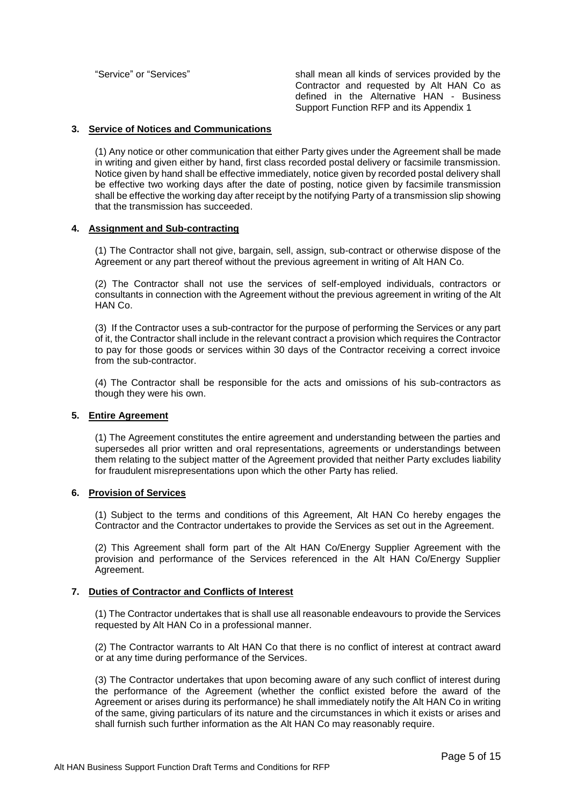"Service" or "Services" shall mean all kinds of services provided by the Contractor and requested by Alt HAN Co as defined in the Alternative HAN - Business Support Function RFP and its Appendix 1

#### <span id="page-4-0"></span>**3. Service of Notices and Communications**

(1) Any notice or other communication that either Party gives under the Agreement shall be made in writing and given either by hand, first class recorded postal delivery or facsimile transmission. Notice given by hand shall be effective immediately, notice given by recorded postal delivery shall be effective two working days after the date of posting, notice given by facsimile transmission shall be effective the working day after receipt by the notifying Party of a transmission slip showing that the transmission has succeeded.

#### <span id="page-4-1"></span>**4. Assignment and Sub-contracting**

(1) The Contractor shall not give, bargain, sell, assign, sub-contract or otherwise dispose of the Agreement or any part thereof without the previous agreement in writing of Alt HAN Co.

(2) The Contractor shall not use the services of self-employed individuals, contractors or consultants in connection with the Agreement without the previous agreement in writing of the Alt HAN Co.

(3) If the Contractor uses a sub-contractor for the purpose of performing the Services or any part of it, the Contractor shall include in the relevant contract a provision which requires the Contractor to pay for those goods or services within 30 days of the Contractor receiving a correct invoice from the sub-contractor.

(4) The Contractor shall be responsible for the acts and omissions of his sub-contractors as though they were his own.

#### <span id="page-4-2"></span>**5. Entire Agreement**

(1) The Agreement constitutes the entire agreement and understanding between the parties and supersedes all prior written and oral representations, agreements or understandings between them relating to the subject matter of the Agreement provided that neither Party excludes liability for fraudulent misrepresentations upon which the other Party has relied.

#### <span id="page-4-3"></span>**6. Provision of Services**

(1) Subject to the terms and conditions of this Agreement, Alt HAN Co hereby engages the Contractor and the Contractor undertakes to provide the Services as set out in the Agreement.

(2) This Agreement shall form part of the Alt HAN Co/Energy Supplier Agreement with the provision and performance of the Services referenced in the Alt HAN Co/Energy Supplier Agreement.

#### <span id="page-4-4"></span>**7. Duties of Contractor and Conflicts of Interest**

(1) The Contractor undertakes that is shall use all reasonable endeavours to provide the Services requested by Alt HAN Co in a professional manner.

(2) The Contractor warrants to Alt HAN Co that there is no conflict of interest at contract award or at any time during performance of the Services.

(3) The Contractor undertakes that upon becoming aware of any such conflict of interest during the performance of the Agreement (whether the conflict existed before the award of the Agreement or arises during its performance) he shall immediately notify the Alt HAN Co in writing of the same, giving particulars of its nature and the circumstances in which it exists or arises and shall furnish such further information as the Alt HAN Co may reasonably require.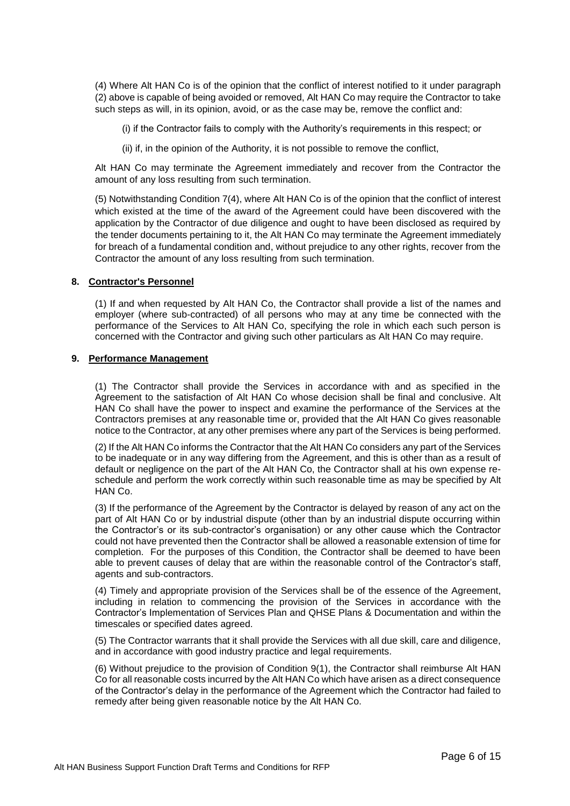(4) Where Alt HAN Co is of the opinion that the conflict of interest notified to it under paragraph (2) above is capable of being avoided or removed, Alt HAN Co may require the Contractor to take such steps as will, in its opinion, avoid, or as the case may be, remove the conflict and:

(i) if the Contractor fails to comply with the Authority's requirements in this respect; or

(ii) if, in the opinion of the Authority, it is not possible to remove the conflict,

Alt HAN Co may terminate the Agreement immediately and recover from the Contractor the amount of any loss resulting from such termination.

(5) Notwithstanding Condition 7(4), where Alt HAN Co is of the opinion that the conflict of interest which existed at the time of the award of the Agreement could have been discovered with the application by the Contractor of due diligence and ought to have been disclosed as required by the tender documents pertaining to it, the Alt HAN Co may terminate the Agreement immediately for breach of a fundamental condition and, without prejudice to any other rights, recover from the Contractor the amount of any loss resulting from such termination.

#### <span id="page-5-0"></span>**8. Contractor's Personnel**

(1) If and when requested by Alt HAN Co, the Contractor shall provide a list of the names and employer (where sub-contracted) of all persons who may at any time be connected with the performance of the Services to Alt HAN Co, specifying the role in which each such person is concerned with the Contractor and giving such other particulars as Alt HAN Co may require.

#### <span id="page-5-1"></span>**9. Performance Management**

(1) The Contractor shall provide the Services in accordance with and as specified in the Agreement to the satisfaction of Alt HAN Co whose decision shall be final and conclusive. Alt HAN Co shall have the power to inspect and examine the performance of the Services at the Contractors premises at any reasonable time or, provided that the Alt HAN Co gives reasonable notice to the Contractor, at any other premises where any part of the Services is being performed.

(2) If the Alt HAN Co informs the Contractor that the Alt HAN Co considers any part of the Services to be inadequate or in any way differing from the Agreement, and this is other than as a result of default or negligence on the part of the Alt HAN Co, the Contractor shall at his own expense reschedule and perform the work correctly within such reasonable time as may be specified by Alt HAN Co.

(3) If the performance of the Agreement by the Contractor is delayed by reason of any act on the part of Alt HAN Co or by industrial dispute (other than by an industrial dispute occurring within the Contractor's or its sub-contractor's organisation) or any other cause which the Contractor could not have prevented then the Contractor shall be allowed a reasonable extension of time for completion. For the purposes of this Condition, the Contractor shall be deemed to have been able to prevent causes of delay that are within the reasonable control of the Contractor's staff, agents and sub-contractors.

(4) Timely and appropriate provision of the Services shall be of the essence of the Agreement, including in relation to commencing the provision of the Services in accordance with the Contractor's Implementation of Services Plan and QHSE Plans & Documentation and within the timescales or specified dates agreed.

(5) The Contractor warrants that it shall provide the Services with all due skill, care and diligence, and in accordance with good industry practice and legal requirements.

(6) Without prejudice to the provision of Condition 9(1), the Contractor shall reimburse Alt HAN Co for all reasonable costs incurred by the Alt HAN Co which have arisen as a direct consequence of the Contractor's delay in the performance of the Agreement which the Contractor had failed to remedy after being given reasonable notice by the Alt HAN Co.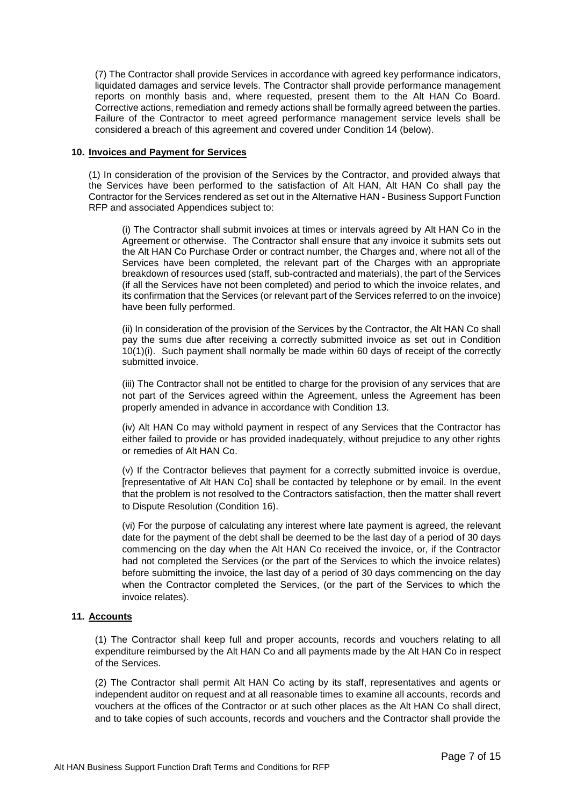(7) The Contractor shall provide Services in accordance with agreed key performance indicators, liquidated damages and service levels. The Contractor shall provide performance management reports on monthly basis and, where requested, present them to the Alt HAN Co Board. Corrective actions, remediation and remedy actions shall be formally agreed between the parties. Failure of the Contractor to meet agreed performance management service levels shall be considered a breach of this agreement and covered under Condition 14 (below).

#### <span id="page-6-0"></span>**10. Invoices and Payment for Services**

(1) In consideration of the provision of the Services by the Contractor, and provided always that the Services have been performed to the satisfaction of Alt HAN, Alt HAN Co shall pay the Contractor for the Services rendered as set out in the Alternative HAN - Business Support Function RFP and associated Appendices subject to:

(i) The Contractor shall submit invoices at times or intervals agreed by Alt HAN Co in the Agreement or otherwise. The Contractor shall ensure that any invoice it submits sets out the Alt HAN Co Purchase Order or contract number, the Charges and, where not all of the Services have been completed, the relevant part of the Charges with an appropriate breakdown of resources used (staff, sub-contracted and materials), the part of the Services (if all the Services have not been completed) and period to which the invoice relates, and its confirmation that the Services (or relevant part of the Services referred to on the invoice) have been fully performed.

(ii) In consideration of the provision of the Services by the Contractor, the Alt HAN Co shall pay the sums due after receiving a correctly submitted invoice as set out in Condition 10(1)(i). Such payment shall normally be made within 60 days of receipt of the correctly submitted invoice.

(iii) The Contractor shall not be entitled to charge for the provision of any services that are not part of the Services agreed within the Agreement, unless the Agreement has been properly amended in advance in accordance with Condition 13.

(iv) Alt HAN Co may withold payment in respect of any Services that the Contractor has either failed to provide or has provided inadequately, without prejudice to any other rights or remedies of Alt HAN Co.

(v) If the Contractor believes that payment for a correctly submitted invoice is overdue, [representative of Alt HAN Co] shall be contacted by telephone or by email. In the event that the problem is not resolved to the Contractors satisfaction, then the matter shall revert to Dispute Resolution (Condition 16).

(vi) For the purpose of calculating any interest where late payment is agreed, the relevant date for the payment of the debt shall be deemed to be the last day of a period of 30 days commencing on the day when the Alt HAN Co received the invoice, or, if the Contractor had not completed the Services (or the part of the Services to which the invoice relates) before submitting the invoice, the last day of a period of 30 days commencing on the day when the Contractor completed the Services, (or the part of the Services to which the invoice relates).

#### <span id="page-6-1"></span>**11. Accounts**

(1) The Contractor shall keep full and proper accounts, records and vouchers relating to all expenditure reimbursed by the Alt HAN Co and all payments made by the Alt HAN Co in respect of the Services.

(2) The Contractor shall permit Alt HAN Co acting by its staff, representatives and agents or independent auditor on request and at all reasonable times to examine all accounts, records and vouchers at the offices of the Contractor or at such other places as the Alt HAN Co shall direct, and to take copies of such accounts, records and vouchers and the Contractor shall provide the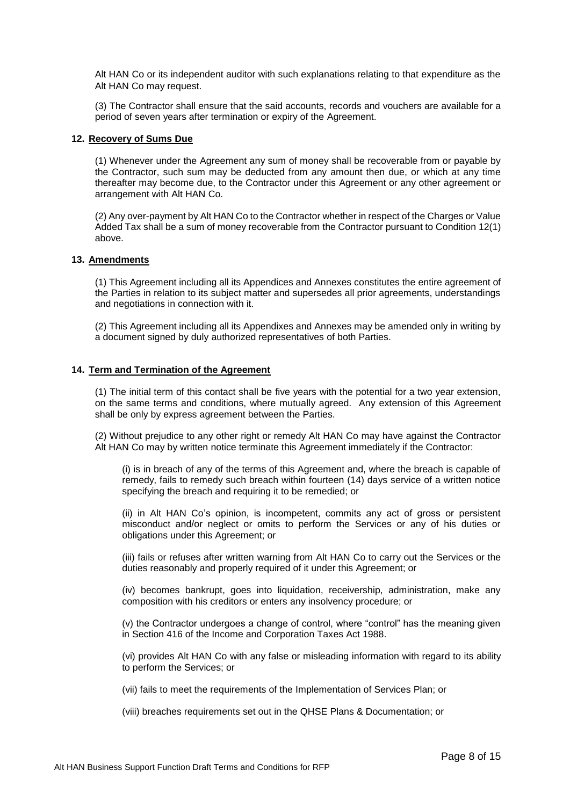Alt HAN Co or its independent auditor with such explanations relating to that expenditure as the Alt HAN Co may request.

(3) The Contractor shall ensure that the said accounts, records and vouchers are available for a period of seven years after termination or expiry of the Agreement.

#### <span id="page-7-0"></span>**12. Recovery of Sums Due**

(1) Whenever under the Agreement any sum of money shall be recoverable from or payable by the Contractor, such sum may be deducted from any amount then due, or which at any time thereafter may become due, to the Contractor under this Agreement or any other agreement or arrangement with Alt HAN Co.

(2) Any over-payment by Alt HAN Co to the Contractor whether in respect of the Charges or Value Added Tax shall be a sum of money recoverable from the Contractor pursuant to Condition 12(1) above.

#### <span id="page-7-1"></span>**13. Amendments**

(1) This Agreement including all its Appendices and Annexes constitutes the entire agreement of the Parties in relation to its subject matter and supersedes all prior agreements, understandings and negotiations in connection with it.

(2) This Agreement including all its Appendixes and Annexes may be amended only in writing by a document signed by duly authorized representatives of both Parties.

#### <span id="page-7-2"></span>**14. Term and Termination of the Agreement**

(1) The initial term of this contact shall be five years with the potential for a two year extension, on the same terms and conditions, where mutually agreed. Any extension of this Agreement shall be only by express agreement between the Parties.

(2) Without prejudice to any other right or remedy Alt HAN Co may have against the Contractor Alt HAN Co may by written notice terminate this Agreement immediately if the Contractor:

(i) is in breach of any of the terms of this Agreement and, where the breach is capable of remedy, fails to remedy such breach within fourteen (14) days service of a written notice specifying the breach and requiring it to be remedied; or

(ii) in Alt HAN Co's opinion, is incompetent, commits any act of gross or persistent misconduct and/or neglect or omits to perform the Services or any of his duties or obligations under this Agreement; or

(iii) fails or refuses after written warning from Alt HAN Co to carry out the Services or the duties reasonably and properly required of it under this Agreement; or

(iv) becomes bankrupt, goes into liquidation, receivership, administration, make any composition with his creditors or enters any insolvency procedure; or

(v) the Contractor undergoes a change of control, where "control" has the meaning given in Section 416 of the Income and Corporation Taxes Act 1988.

(vi) provides Alt HAN Co with any false or misleading information with regard to its ability to perform the Services; or

(vii) fails to meet the requirements of the Implementation of Services Plan; or

(viii) breaches requirements set out in the QHSE Plans & Documentation; or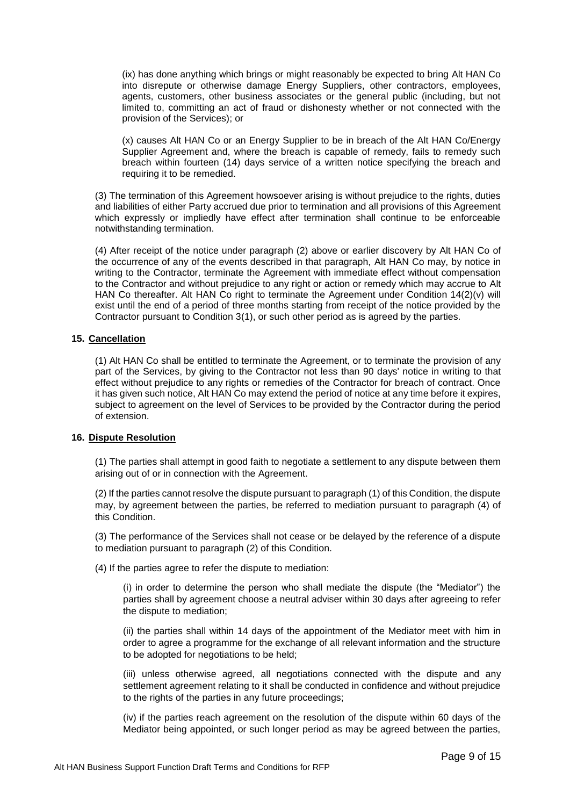(ix) has done anything which brings or might reasonably be expected to bring Alt HAN Co into disrepute or otherwise damage Energy Suppliers, other contractors, employees, agents, customers, other business associates or the general public (including, but not limited to, committing an act of fraud or dishonesty whether or not connected with the provision of the Services); or

(x) causes Alt HAN Co or an Energy Supplier to be in breach of the Alt HAN Co/Energy Supplier Agreement and, where the breach is capable of remedy, fails to remedy such breach within fourteen (14) days service of a written notice specifying the breach and requiring it to be remedied.

(3) The termination of this Agreement howsoever arising is without prejudice to the rights, duties and liabilities of either Party accrued due prior to termination and all provisions of this Agreement which expressly or impliedly have effect after termination shall continue to be enforceable notwithstanding termination.

(4) After receipt of the notice under paragraph (2) above or earlier discovery by Alt HAN Co of the occurrence of any of the events described in that paragraph, Alt HAN Co may, by notice in writing to the Contractor, terminate the Agreement with immediate effect without compensation to the Contractor and without prejudice to any right or action or remedy which may accrue to Alt HAN Co thereafter. Alt HAN Co right to terminate the Agreement under Condition 14(2)(v) will exist until the end of a period of three months starting from receipt of the notice provided by the Contractor pursuant to Condition 3(1), or such other period as is agreed by the parties.

#### <span id="page-8-0"></span>**15. Cancellation**

(1) Alt HAN Co shall be entitled to terminate the Agreement, or to terminate the provision of any part of the Services, by giving to the Contractor not less than 90 days' notice in writing to that effect without prejudice to any rights or remedies of the Contractor for breach of contract. Once it has given such notice, Alt HAN Co may extend the period of notice at any time before it expires, subject to agreement on the level of Services to be provided by the Contractor during the period of extension.

#### <span id="page-8-1"></span>**16. Dispute Resolution**

(1) The parties shall attempt in good faith to negotiate a settlement to any dispute between them arising out of or in connection with the Agreement.

(2) If the parties cannot resolve the dispute pursuant to paragraph (1) of this Condition, the dispute may, by agreement between the parties, be referred to mediation pursuant to paragraph (4) of this Condition.

(3) The performance of the Services shall not cease or be delayed by the reference of a dispute to mediation pursuant to paragraph (2) of this Condition.

(4) If the parties agree to refer the dispute to mediation:

(i) in order to determine the person who shall mediate the dispute (the "Mediator") the parties shall by agreement choose a neutral adviser within 30 days after agreeing to refer the dispute to mediation;

(ii) the parties shall within 14 days of the appointment of the Mediator meet with him in order to agree a programme for the exchange of all relevant information and the structure to be adopted for negotiations to be held;

(iii) unless otherwise agreed, all negotiations connected with the dispute and any settlement agreement relating to it shall be conducted in confidence and without prejudice to the rights of the parties in any future proceedings;

(iv) if the parties reach agreement on the resolution of the dispute within 60 days of the Mediator being appointed, or such longer period as may be agreed between the parties,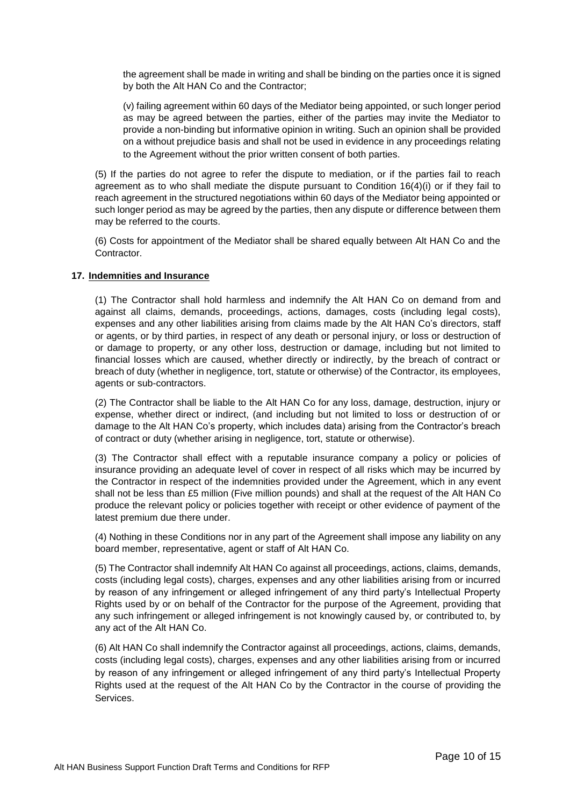the agreement shall be made in writing and shall be binding on the parties once it is signed by both the Alt HAN Co and the Contractor;

(v) failing agreement within 60 days of the Mediator being appointed, or such longer period as may be agreed between the parties, either of the parties may invite the Mediator to provide a non-binding but informative opinion in writing. Such an opinion shall be provided on a without prejudice basis and shall not be used in evidence in any proceedings relating to the Agreement without the prior written consent of both parties.

(5) If the parties do not agree to refer the dispute to mediation, or if the parties fail to reach agreement as to who shall mediate the dispute pursuant to Condition 16(4)(i) or if they fail to reach agreement in the structured negotiations within 60 days of the Mediator being appointed or such longer period as may be agreed by the parties, then any dispute or difference between them may be referred to the courts.

(6) Costs for appointment of the Mediator shall be shared equally between Alt HAN Co and the Contractor.

#### <span id="page-9-0"></span>**17. Indemnities and Insurance**

(1) The Contractor shall hold harmless and indemnify the Alt HAN Co on demand from and against all claims, demands, proceedings, actions, damages, costs (including legal costs), expenses and any other liabilities arising from claims made by the Alt HAN Co's directors, staff or agents, or by third parties, in respect of any death or personal injury, or loss or destruction of or damage to property, or any other loss, destruction or damage, including but not limited to financial losses which are caused, whether directly or indirectly, by the breach of contract or breach of duty (whether in negligence, tort, statute or otherwise) of the Contractor, its employees, agents or sub-contractors.

(2) The Contractor shall be liable to the Alt HAN Co for any loss, damage, destruction, injury or expense, whether direct or indirect, (and including but not limited to loss or destruction of or damage to the Alt HAN Co's property, which includes data) arising from the Contractor's breach of contract or duty (whether arising in negligence, tort, statute or otherwise).

(3) The Contractor shall effect with a reputable insurance company a policy or policies of insurance providing an adequate level of cover in respect of all risks which may be incurred by the Contractor in respect of the indemnities provided under the Agreement, which in any event shall not be less than £5 million (Five million pounds) and shall at the request of the Alt HAN Co produce the relevant policy or policies together with receipt or other evidence of payment of the latest premium due there under.

(4) Nothing in these Conditions nor in any part of the Agreement shall impose any liability on any board member, representative, agent or staff of Alt HAN Co.

(5) The Contractor shall indemnify Alt HAN Co against all proceedings, actions, claims, demands, costs (including legal costs), charges, expenses and any other liabilities arising from or incurred by reason of any infringement or alleged infringement of any third party's Intellectual Property Rights used by or on behalf of the Contractor for the purpose of the Agreement, providing that any such infringement or alleged infringement is not knowingly caused by, or contributed to, by any act of the Alt HAN Co.

(6) Alt HAN Co shall indemnify the Contractor against all proceedings, actions, claims, demands, costs (including legal costs), charges, expenses and any other liabilities arising from or incurred by reason of any infringement or alleged infringement of any third party's Intellectual Property Rights used at the request of the Alt HAN Co by the Contractor in the course of providing the Services.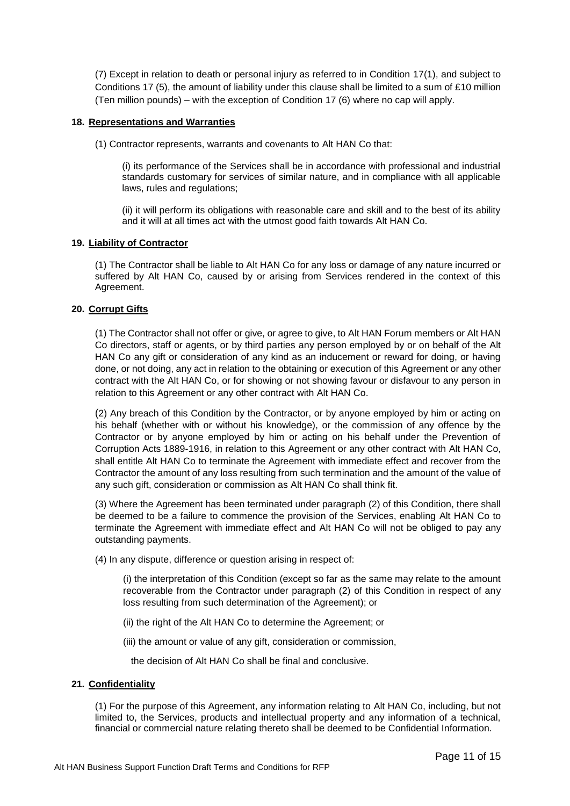(7) Except in relation to death or personal injury as referred to in Condition 17(1), and subject to Conditions 17 (5), the amount of liability under this clause shall be limited to a sum of £10 million (Ten million pounds) – with the exception of Condition 17 (6) where no cap will apply.

#### <span id="page-10-0"></span>**18. Representations and Warranties**

(1) Contractor represents, warrants and covenants to Alt HAN Co that:

(i) its performance of the Services shall be in accordance with professional and industrial standards customary for services of similar nature, and in compliance with all applicable laws, rules and regulations;

(ii) it will perform its obligations with reasonable care and skill and to the best of its ability and it will at all times act with the utmost good faith towards Alt HAN Co.

#### <span id="page-10-1"></span>**19. Liability of Contractor**

(1) The Contractor shall be liable to Alt HAN Co for any loss or damage of any nature incurred or suffered by Alt HAN Co, caused by or arising from Services rendered in the context of this Agreement.

#### <span id="page-10-2"></span>**20. Corrupt Gifts**

(1) The Contractor shall not offer or give, or agree to give, to Alt HAN Forum members or Alt HAN Co directors, staff or agents, or by third parties any person employed by or on behalf of the Alt HAN Co any gift or consideration of any kind as an inducement or reward for doing, or having done, or not doing, any act in relation to the obtaining or execution of this Agreement or any other contract with the Alt HAN Co, or for showing or not showing favour or disfavour to any person in relation to this Agreement or any other contract with Alt HAN Co.

(2) Any breach of this Condition by the Contractor, or by anyone employed by him or acting on his behalf (whether with or without his knowledge), or the commission of any offence by the Contractor or by anyone employed by him or acting on his behalf under the Prevention of Corruption Acts 1889-1916, in relation to this Agreement or any other contract with Alt HAN Co, shall entitle Alt HAN Co to terminate the Agreement with immediate effect and recover from the Contractor the amount of any loss resulting from such termination and the amount of the value of any such gift, consideration or commission as Alt HAN Co shall think fit.

(3) Where the Agreement has been terminated under paragraph (2) of this Condition, there shall be deemed to be a failure to commence the provision of the Services, enabling Alt HAN Co to terminate the Agreement with immediate effect and Alt HAN Co will not be obliged to pay any outstanding payments.

(4) In any dispute, difference or question arising in respect of:

(i) the interpretation of this Condition (except so far as the same may relate to the amount recoverable from the Contractor under paragraph (2) of this Condition in respect of any loss resulting from such determination of the Agreement); or

- (ii) the right of the Alt HAN Co to determine the Agreement; or
- (iii) the amount or value of any gift, consideration or commission,

the decision of Alt HAN Co shall be final and conclusive.

#### <span id="page-10-3"></span>**21. Confidentiality**

(1) For the purpose of this Agreement, any information relating to Alt HAN Co, including, but not limited to, the Services, products and intellectual property and any information of a technical, financial or commercial nature relating thereto shall be deemed to be Confidential Information.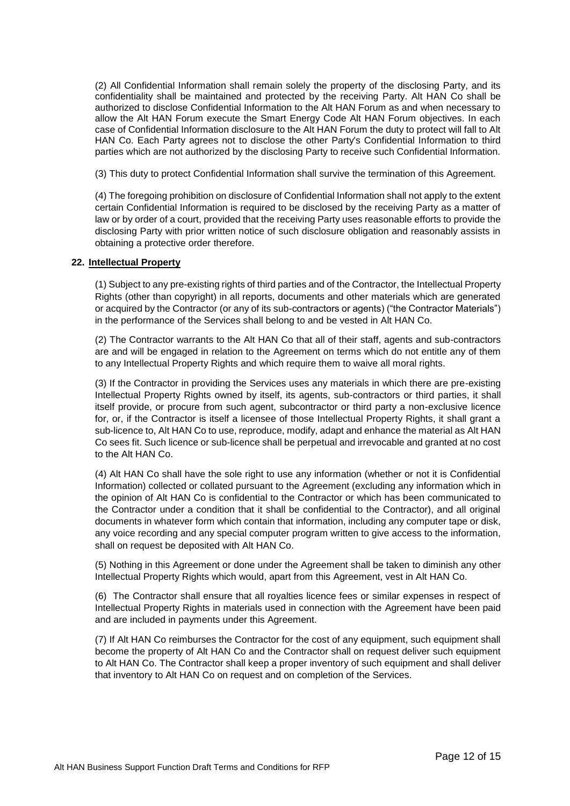(2) All Confidential Information shall remain solely the property of the disclosing Party, and its confidentiality shall be maintained and protected by the receiving Party. Alt HAN Co shall be authorized to disclose Confidential Information to the Alt HAN Forum as and when necessary to allow the Alt HAN Forum execute the Smart Energy Code Alt HAN Forum objectives. In each case of Confidential Information disclosure to the Alt HAN Forum the duty to protect will fall to Alt HAN Co. Each Party agrees not to disclose the other Party's Confidential Information to third parties which are not authorized by the disclosing Party to receive such Confidential Information.

(3) This duty to protect Confidential Information shall survive the termination of this Agreement.

(4) The foregoing prohibition on disclosure of Confidential Information shall not apply to the extent certain Confidential Information is required to be disclosed by the receiving Party as a matter of law or by order of a court, provided that the receiving Party uses reasonable efforts to provide the disclosing Party with prior written notice of such disclosure obligation and reasonably assists in obtaining a protective order therefore.

#### **22. Intellectual Property**

<span id="page-11-0"></span>(1) Subject to any pre-existing rights of third parties and of the Contractor, the Intellectual Property Rights (other than copyright) in all reports, documents and other materials which are generated or acquired by the Contractor (or any of its sub-contractors or agents) ("the Contractor Materials") in the performance of the Services shall belong to and be vested in Alt HAN Co.

(2) The Contractor warrants to the Alt HAN Co that all of their staff, agents and sub-contractors are and will be engaged in relation to the Agreement on terms which do not entitle any of them to any Intellectual Property Rights and which require them to waive all moral rights.

(3) If the Contractor in providing the Services uses any materials in which there are pre-existing Intellectual Property Rights owned by itself, its agents, sub-contractors or third parties, it shall itself provide, or procure from such agent, subcontractor or third party a non-exclusive licence for, or, if the Contractor is itself a licensee of those Intellectual Property Rights, it shall grant a sub-licence to, Alt HAN Co to use, reproduce, modify, adapt and enhance the material as Alt HAN Co sees fit. Such licence or sub-licence shall be perpetual and irrevocable and granted at no cost to the Alt HAN Co.

(4) Alt HAN Co shall have the sole right to use any information (whether or not it is Confidential Information) collected or collated pursuant to the Agreement (excluding any information which in the opinion of Alt HAN Co is confidential to the Contractor or which has been communicated to the Contractor under a condition that it shall be confidential to the Contractor), and all original documents in whatever form which contain that information, including any computer tape or disk, any voice recording and any special computer program written to give access to the information, shall on request be deposited with Alt HAN Co.

(5) Nothing in this Agreement or done under the Agreement shall be taken to diminish any other Intellectual Property Rights which would, apart from this Agreement, vest in Alt HAN Co.

(6) The Contractor shall ensure that all royalties licence fees or similar expenses in respect of Intellectual Property Rights in materials used in connection with the Agreement have been paid and are included in payments under this Agreement.

(7) If Alt HAN Co reimburses the Contractor for the cost of any equipment, such equipment shall become the property of Alt HAN Co and the Contractor shall on request deliver such equipment to Alt HAN Co. The Contractor shall keep a proper inventory of such equipment and shall deliver that inventory to Alt HAN Co on request and on completion of the Services.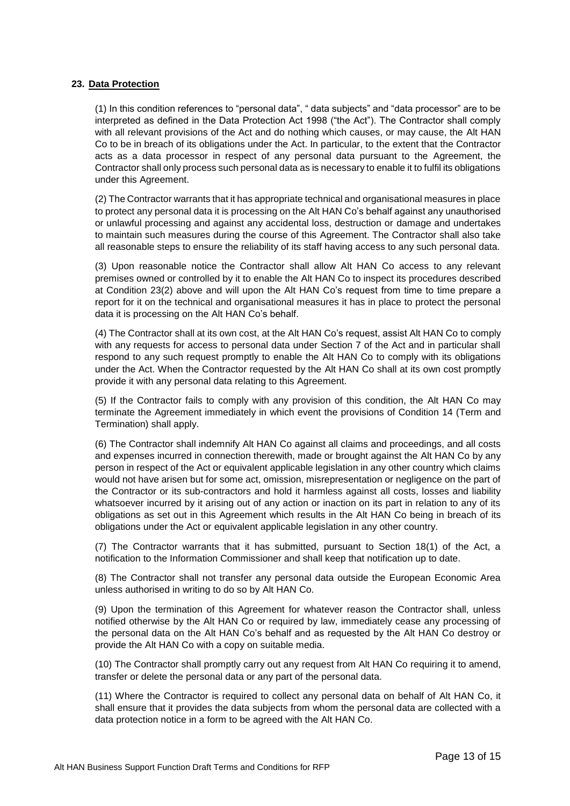#### <span id="page-12-0"></span>**23. Data Protection**

(1) In this condition references to "personal data", " data subjects" and "data processor" are to be interpreted as defined in the Data Protection Act 1998 ("the Act"). The Contractor shall comply with all relevant provisions of the Act and do nothing which causes, or may cause, the Alt HAN Co to be in breach of its obligations under the Act. In particular, to the extent that the Contractor acts as a data processor in respect of any personal data pursuant to the Agreement, the Contractor shall only process such personal data as is necessary to enable it to fulfil its obligations under this Agreement.

(2) The Contractor warrants that it has appropriate technical and organisational measures in place to protect any personal data it is processing on the Alt HAN Co's behalf against any unauthorised or unlawful processing and against any accidental loss, destruction or damage and undertakes to maintain such measures during the course of this Agreement. The Contractor shall also take all reasonable steps to ensure the reliability of its staff having access to any such personal data.

(3) Upon reasonable notice the Contractor shall allow Alt HAN Co access to any relevant premises owned or controlled by it to enable the Alt HAN Co to inspect its procedures described at Condition 23(2) above and will upon the Alt HAN Co's request from time to time prepare a report for it on the technical and organisational measures it has in place to protect the personal data it is processing on the Alt HAN Co's behalf.

(4) The Contractor shall at its own cost, at the Alt HAN Co's request, assist Alt HAN Co to comply with any requests for access to personal data under Section 7 of the Act and in particular shall respond to any such request promptly to enable the Alt HAN Co to comply with its obligations under the Act. When the Contractor requested by the Alt HAN Co shall at its own cost promptly provide it with any personal data relating to this Agreement.

(5) If the Contractor fails to comply with any provision of this condition, the Alt HAN Co may terminate the Agreement immediately in which event the provisions of Condition 14 (Term and Termination) shall apply.

(6) The Contractor shall indemnify Alt HAN Co against all claims and proceedings, and all costs and expenses incurred in connection therewith, made or brought against the Alt HAN Co by any person in respect of the Act or equivalent applicable legislation in any other country which claims would not have arisen but for some act, omission, misrepresentation or negligence on the part of the Contractor or its sub-contractors and hold it harmless against all costs, losses and liability whatsoever incurred by it arising out of any action or inaction on its part in relation to any of its obligations as set out in this Agreement which results in the Alt HAN Co being in breach of its obligations under the Act or equivalent applicable legislation in any other country.

(7) The Contractor warrants that it has submitted, pursuant to Section 18(1) of the Act, a notification to the Information Commissioner and shall keep that notification up to date.

(8) The Contractor shall not transfer any personal data outside the European Economic Area unless authorised in writing to do so by Alt HAN Co.

(9) Upon the termination of this Agreement for whatever reason the Contractor shall, unless notified otherwise by the Alt HAN Co or required by law, immediately cease any processing of the personal data on the Alt HAN Co's behalf and as requested by the Alt HAN Co destroy or provide the Alt HAN Co with a copy on suitable media.

(10) The Contractor shall promptly carry out any request from Alt HAN Co requiring it to amend, transfer or delete the personal data or any part of the personal data.

(11) Where the Contractor is required to collect any personal data on behalf of Alt HAN Co, it shall ensure that it provides the data subjects from whom the personal data are collected with a data protection notice in a form to be agreed with the Alt HAN Co.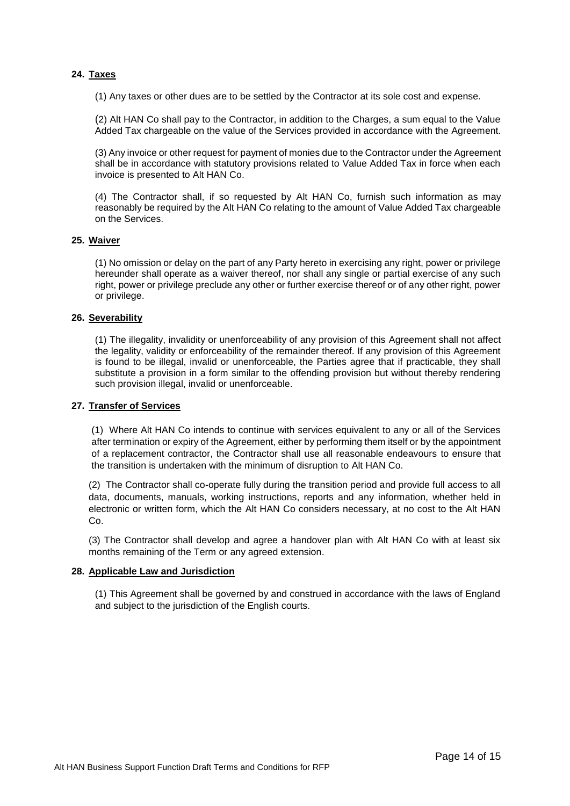#### <span id="page-13-0"></span>**24. Taxes**

(1) Any taxes or other dues are to be settled by the Contractor at its sole cost and expense.

(2) Alt HAN Co shall pay to the Contractor, in addition to the Charges, a sum equal to the Value Added Tax chargeable on the value of the Services provided in accordance with the Agreement.

(3) Any invoice or other request for payment of monies due to the Contractor under the Agreement shall be in accordance with statutory provisions related to Value Added Tax in force when each invoice is presented to Alt HAN Co.

(4) The Contractor shall, if so requested by Alt HAN Co, furnish such information as may reasonably be required by the Alt HAN Co relating to the amount of Value Added Tax chargeable on the Services.

#### <span id="page-13-1"></span>**25. Waiver**

(1) No omission or delay on the part of any Party hereto in exercising any right, power or privilege hereunder shall operate as a waiver thereof, nor shall any single or partial exercise of any such right, power or privilege preclude any other or further exercise thereof or of any other right, power or privilege.

#### <span id="page-13-2"></span>**26. Severability**

(1) The illegality, invalidity or unenforceability of any provision of this Agreement shall not affect the legality, validity or enforceability of the remainder thereof. If any provision of this Agreement is found to be illegal, invalid or unenforceable, the Parties agree that if practicable, they shall substitute a provision in a form similar to the offending provision but without thereby rendering such provision illegal, invalid or unenforceable.

#### <span id="page-13-3"></span>**27. Transfer of Services**

(1) Where Alt HAN Co intends to continue with services equivalent to any or all of the Services after termination or expiry of the Agreement, either by performing them itself or by the appointment of a replacement contractor, the Contractor shall use all reasonable endeavours to ensure that the transition is undertaken with the minimum of disruption to Alt HAN Co.

(2) The Contractor shall co-operate fully during the transition period and provide full access to all data, documents, manuals, working instructions, reports and any information, whether held in electronic or written form, which the Alt HAN Co considers necessary, at no cost to the Alt HAN Co.

(3) The Contractor shall develop and agree a handover plan with Alt HAN Co with at least six months remaining of the Term or any agreed extension.

#### <span id="page-13-4"></span>**28. Applicable Law and Jurisdiction**

(1) This Agreement shall be governed by and construed in accordance with the laws of England and subject to the jurisdiction of the English courts.